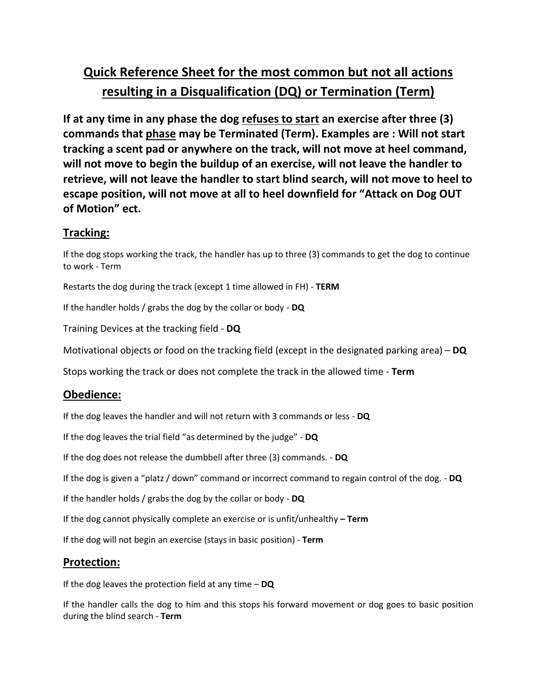## **Quick Reference Sheet for the most common but not all actions resulting in a Disqualification (DQ) or Termination (Term)**

**If at any time in any phase the dog refuses to start an exercise after three (3) commands that phase may be Terminated (Term). Examples are : Will not start tracking a scent pad or anywhere on the track, will not move at heel command, will not move to begin the buildup of an exercise, will not leave the handler to retrieve, will not leave the handler to start blind search, will not move to heel to escape position, will not move at all to heel downfield for "Attack on Dog OUT of Motion" ect.**

## **Tracking:**

If the dog stops working the track, the handler has up to three (3) commands to get the dog to continue to work - Term

Restarts the dog during the track (except 1 time allowed in FH) - **TERM**

If the handler holds / grabs the dog by the collar or body - **DQ**

Training Devices at the tracking field - **DQ**

Motivational objects or food on the tracking field (except in the designated parking area) – **DQ**

Stops working the track or does not complete the track in the allowed time - **Term**

## **Obedience:**

If the dog leaves the handler and will not return with 3 commands or less - **DQ**

If the dog leaves the trial field "as determined by the judge" - **DQ**

If the dog does not release the dumbbell after three (3) commands. - **DQ**

If the dog is given a "platz / down" command or incorrect command to regain control of the dog. - **DQ**

If the handler holds / grabs the dog by the collar or body - **DQ**

If the dog cannot physically complete an exercise or is unfit/unhealthy **– Term**

If the dog will not begin an exercise (stays in basic position) - **Term**

## **Protection:**

If the dog leaves the protection field at any time – **DQ**

If the handler calls the dog to him and this stops his forward movement or dog goes to basic position during the blind search - **Term**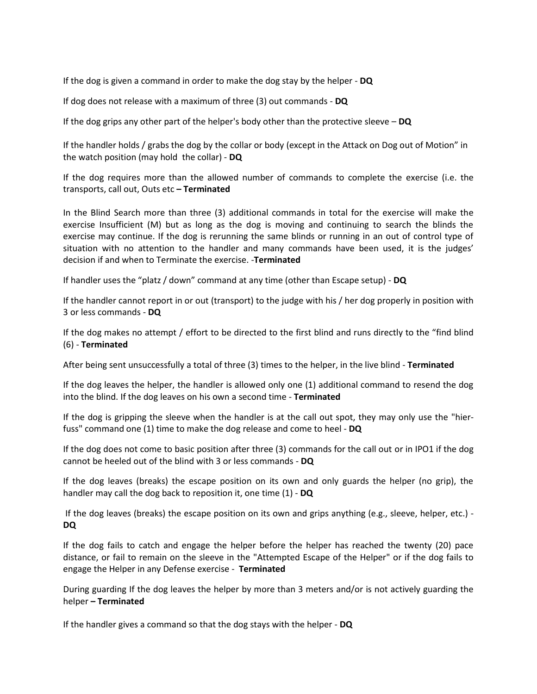If the dog is given a command in order to make the dog stay by the helper - **DQ**

If dog does not release with a maximum of three (3) out commands - **DQ**

If the dog grips any other part of the helper's body other than the protective sleeve – **DQ**

If the handler holds / grabs the dog by the collar or body (except in the Attack on Dog out of Motion" in the watch position (may hold the collar) - **DQ**

If the dog requires more than the allowed number of commands to complete the exercise (i.e. the transports, call out, Outs etc **– Terminated**

In the Blind Search more than three (3) additional commands in total for the exercise will make the exercise Insufficient (M) but as long as the dog is moving and continuing to search the blinds the exercise may continue. If the dog is rerunning the same blinds or running in an out of control type of situation with no attention to the handler and many commands have been used, it is the judges' decision if and when to Terminate the exercise. -**Terminated**

If handler uses the "platz / down" command at any time (other than Escape setup) - **DQ**

If the handler cannot report in or out (transport) to the judge with his / her dog properly in position with 3 or less commands - **DQ**

If the dog makes no attempt / effort to be directed to the first blind and runs directly to the "find blind (6) - **Terminated**

After being sent unsuccessfully a total of three (3) times to the helper, in the live blind - **Terminated**

If the dog leaves the helper, the handler is allowed only one (1) additional command to resend the dog into the blind. If the dog leaves on his own a second time - **Terminated**

If the dog is gripping the sleeve when the handler is at the call out spot, they may only use the "hierfuss" command one (1) time to make the dog release and come to heel - **DQ**

If the dog does not come to basic position after three (3) commands for the call out or in IPO1 if the dog cannot be heeled out of the blind with 3 or less commands - **DQ**

If the dog leaves (breaks) the escape position on its own and only guards the helper (no grip), the handler may call the dog back to reposition it, one time (1) - **DQ**

If the dog leaves (breaks) the escape position on its own and grips anything (e.g., sleeve, helper, etc.) - **DQ**

If the dog fails to catch and engage the helper before the helper has reached the twenty (20) pace distance, or fail to remain on the sleeve in the "Attempted Escape of the Helper" or if the dog fails to engage the Helper in any Defense exercise - **Terminated**

During guarding If the dog leaves the helper by more than 3 meters and/or is not actively guarding the helper **– Terminated**

If the handler gives a command so that the dog stays with the helper - **DQ**